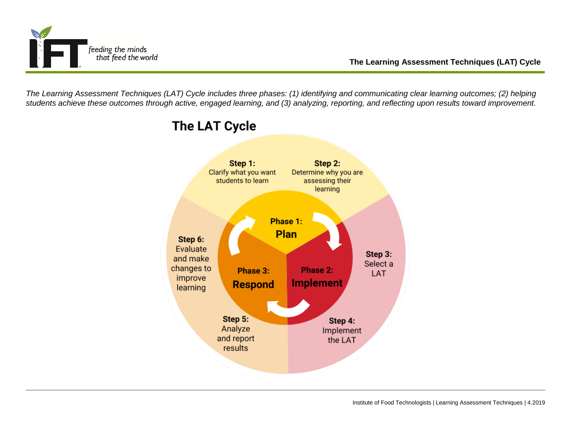

*The Learning Assessment Techniques (LAT) Cycle includes three phases: (1) identifying and communicating clear learning outcomes; (2) helping students achieve these outcomes through active, engaged learning, and (3) analyzing, reporting, and reflecting upon results toward improvement.*



## **The LAT Cycle**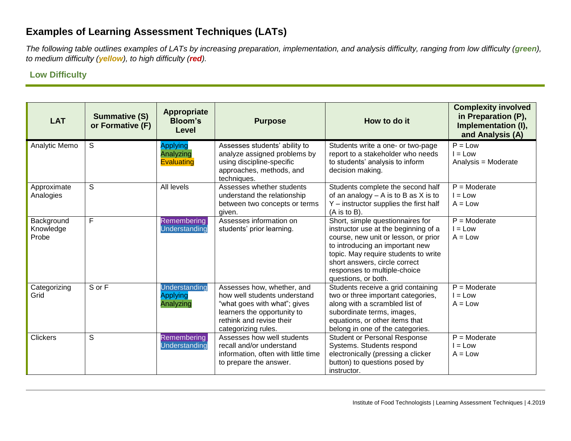## **Examples of Learning Assessment Techniques (LATs)**

*The following table outlines examples of LATs by increasing preparation, implementation, and analysis difficulty, ranging from low difficulty (green), to medium difficulty (yellow), to high difficulty (red).*

## **Low Difficulty**

| <b>LAT</b>                       | <b>Summative (S)</b><br>or Formative (F) | <b>Appropriate</b><br><b>Bloom's</b><br>Level     | <b>Purpose</b>                                                                                                                                                               | How to do it                                                                                                                                                                                                                                                                        | <b>Complexity involved</b><br>in Preparation (P),<br>Implementation (I),<br>and Analysis (A) |
|----------------------------------|------------------------------------------|---------------------------------------------------|------------------------------------------------------------------------------------------------------------------------------------------------------------------------------|-------------------------------------------------------------------------------------------------------------------------------------------------------------------------------------------------------------------------------------------------------------------------------------|----------------------------------------------------------------------------------------------|
| Analytic Memo                    | S                                        | <b>Applying</b><br>Analyzing<br><b>Evaluating</b> | Assesses students' ability to<br>analyze assigned problems by<br>using discipline-specific<br>approaches, methods, and<br>techniques.                                        | Students write a one- or two-page<br>report to a stakeholder who needs<br>to students' analysis to inform<br>decision making.                                                                                                                                                       | $P = Low$<br>$I = Low$<br>Analysis = Moderate                                                |
| Approximate<br>Analogies         | S                                        | All levels                                        | Assesses whether students<br>understand the relationship<br>between two concepts or terms<br>given.                                                                          | Students complete the second half<br>of an analogy $- A$ is to B as X is to<br>Y - instructor supplies the first half<br>$(A \t{is} to B).$                                                                                                                                         | $P =$ Moderate<br>$I = Low$<br>$A = Low$                                                     |
| Background<br>Knowledge<br>Probe | F                                        | Remembering<br><b>Understanding</b>               | Assesses information on<br>students' prior learning.                                                                                                                         | Short, simple questionnaires for<br>instructor use at the beginning of a<br>course, new unit or lesson, or prior<br>to introducing an important new<br>topic. May require students to write<br>short answers, circle correct<br>responses to multiple-choice<br>questions, or both. | $P =$ Moderate<br>$I = Low$<br>$A = Low$                                                     |
| Categorizing<br>Grid             | S or F                                   | Understanding<br><b>Applying</b><br>Analyzing     | Assesses how, whether, and<br>how well students understand<br>"what goes with what"; gives<br>learners the opportunity to<br>rethink and revise their<br>categorizing rules. | Students receive a grid containing<br>two or three important categories,<br>along with a scrambled list of<br>subordinate terms, images,<br>equations, or other items that<br>belong in one of the categories.                                                                      | $\overline{P}$ = Moderate<br>$I = Low$<br>$A = Low$                                          |
| <b>Clickers</b>                  | S                                        | Remembering<br><b>Understanding</b>               | Assesses how well students<br>recall and/or understand<br>information, often with little time<br>to prepare the answer.                                                      | <b>Student or Personal Response</b><br>Systems. Students respond<br>electronically (pressing a clicker<br>button) to questions posed by<br>instructor.                                                                                                                              | $P =$ Moderate<br>$I = Low$<br>$A = Low$                                                     |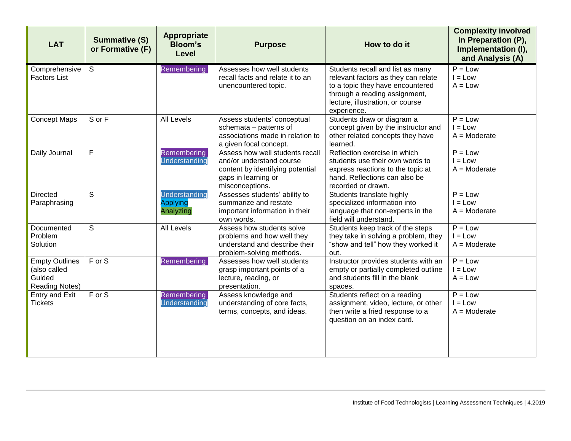| <b>LAT</b>                                                               | <b>Summative (S)</b><br>or Formative (F) | <b>Appropriate</b><br><b>Bloom's</b><br><b>Level</b> | <b>Purpose</b>                                                                                                                            | How to do it                                                                                                                                                                                    | <b>Complexity involved</b><br>in Preparation (P),<br>Implementation (I),<br>and Analysis (A) |
|--------------------------------------------------------------------------|------------------------------------------|------------------------------------------------------|-------------------------------------------------------------------------------------------------------------------------------------------|-------------------------------------------------------------------------------------------------------------------------------------------------------------------------------------------------|----------------------------------------------------------------------------------------------|
| Comprehensive<br><b>Factors List</b>                                     | $\mathsf{S}$                             | Remembering                                          | Assesses how well students<br>recall facts and relate it to an<br>unencountered topic.                                                    | Students recall and list as many<br>relevant factors as they can relate<br>to a topic they have encountered<br>through a reading assignment,<br>lecture, illustration, or course<br>experience. | $P = Low$<br>$I = Low$<br>$A = Low$                                                          |
| <b>Concept Maps</b>                                                      | S or F                                   | All Levels                                           | Assess students' conceptual<br>schemata - patterns of<br>associations made in relation to<br>a given focal concept.                       | Students draw or diagram a<br>concept given by the instructor and<br>other related concepts they have<br>learned.                                                                               | $P = Low$<br>$I = Low$<br>$A = \text{Modern}$                                                |
| Daily Journal                                                            | $\mathsf{F}$                             | Remembering<br>Understanding                         | Assess how well students recall<br>and/or understand course<br>content by identifying potential<br>gaps in learning or<br>misconceptions. | Reflection exercise in which<br>students use their own words to<br>express reactions to the topic at<br>hand. Reflections can also be<br>recorded or drawn.                                     | $P = Low$<br>$I = Low$<br>$A =$ Moderate                                                     |
| <b>Directed</b><br>Paraphrasing                                          | S                                        | Understanding<br><b>Applying</b><br>Analyzing        | Assesses students' ability to<br>summarize and restate<br>important information in their<br>own words.                                    | Students translate highly<br>specialized information into<br>language that non-experts in the<br>field will understand.                                                                         | $P = Low$<br>$I = Low$<br>$A =$ Moderate                                                     |
| Documented<br>Problem<br>Solution                                        | S                                        | <b>All Levels</b>                                    | Assess how students solve<br>problems and how well they<br>understand and describe their<br>problem-solving methods.                      | Students keep track of the steps<br>they take in solving a problem, they<br>"show and tell" how they worked it<br>out.                                                                          | $P = Low$<br>$I = Low$<br>$A =$ Moderate                                                     |
| <b>Empty Outlines</b><br>(also called<br>Guided<br><b>Reading Notes)</b> | $\overline{F}$ or S                      | <b>Remembering</b>                                   | Assesses how well students<br>grasp important points of a<br>lecture, reading, or<br>presentation.                                        | Instructor provides students with an<br>empty or partially completed outline<br>and students fill in the blank<br>spaces.                                                                       | $P = Low$<br>$I = Low$<br>$A = Low$                                                          |
| <b>Entry and Exit</b><br><b>Tickets</b>                                  | $F$ or S                                 | <b>Remembering</b><br><b>Understanding</b>           | Assess knowledge and<br>understanding of core facts,<br>terms, concepts, and ideas.                                                       | Students reflect on a reading<br>assignment, video, lecture, or other<br>then write a fried response to a<br>question on an index card.                                                         | $P = Low$<br>$I = Low$<br>$A = \text{Modern}$                                                |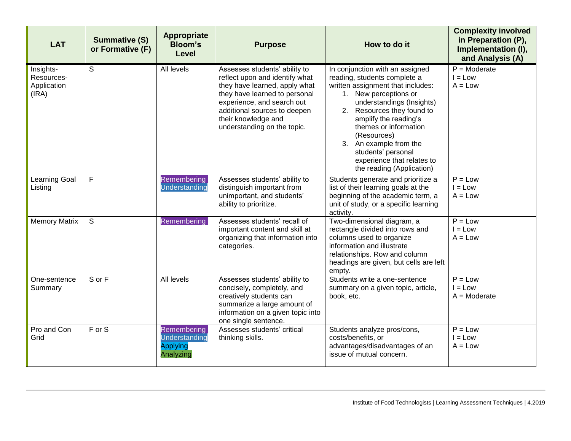| <b>LAT</b>                                      | <b>Summative (S)</b><br>or Formative (F) | <b>Appropriate</b><br><b>Bloom's</b><br><b>Level</b>         | <b>Purpose</b>                                                                                                                                                                                                                                        | How to do it                                                                                                                                                                                                                                                                                                                                                         | <b>Complexity involved</b><br>in Preparation (P),<br>Implementation (I),<br>and Analysis (A) |
|-------------------------------------------------|------------------------------------------|--------------------------------------------------------------|-------------------------------------------------------------------------------------------------------------------------------------------------------------------------------------------------------------------------------------------------------|----------------------------------------------------------------------------------------------------------------------------------------------------------------------------------------------------------------------------------------------------------------------------------------------------------------------------------------------------------------------|----------------------------------------------------------------------------------------------|
| Insights-<br>Resources-<br>Application<br>(IRA) | S                                        | All levels                                                   | Assesses students' ability to<br>reflect upon and identify what<br>they have learned, apply what<br>they have learned to personal<br>experience, and search out<br>additional sources to deepen<br>their knowledge and<br>understanding on the topic. | In conjunction with an assigned<br>reading, students complete a<br>written assignment that includes:<br>1. New perceptions or<br>understandings (Insights)<br>2. Resources they found to<br>amplify the reading's<br>themes or information<br>(Resources)<br>3. An example from the<br>students' personal<br>experience that relates to<br>the reading (Application) | $P =$ Moderate<br>$I = Low$<br>$A = Low$                                                     |
| Learning Goal<br>Listing                        | F                                        | Remembering<br>Understanding                                 | Assesses students' ability to<br>distinguish important from<br>unimportant, and students'<br>ability to prioritize.                                                                                                                                   | Students generate and prioritize a<br>list of their learning goals at the<br>beginning of the academic term, a<br>unit of study, or a specific learning<br>activity.                                                                                                                                                                                                 | $P = Low$<br>$I = Low$<br>$A = Low$                                                          |
| <b>Memory Matrix</b>                            | S                                        | Remembering                                                  | Assesses students' recall of<br>important content and skill at<br>organizing that information into<br>categories.                                                                                                                                     | Two-dimensional diagram, a<br>rectangle divided into rows and<br>columns used to organize<br>information and illustrate<br>relationships. Row and column<br>headings are given, but cells are left<br>empty.                                                                                                                                                         | $P = Low$<br>$I = Low$<br>$A = Low$                                                          |
| One-sentence<br>Summary                         | S or F                                   | All levels                                                   | Assesses students' ability to<br>concisely, completely, and<br>creatively students can<br>summarize a large amount of<br>information on a given topic into<br>one single sentence.                                                                    | Students write a one-sentence<br>summary on a given topic, article,<br>book, etc.                                                                                                                                                                                                                                                                                    | $P = Low$<br>$I = Low$<br>$A =$ Moderate                                                     |
| Pro and Con<br>Grid                             | $F$ or S                                 | Remembering<br>Understanding<br><b>Applying</b><br>Analyzing | Assesses students' critical<br>thinking skills.                                                                                                                                                                                                       | Students analyze pros/cons,<br>costs/benefits, or<br>advantages/disadvantages of an<br>issue of mutual concern.                                                                                                                                                                                                                                                      | $P = Low$<br>$I = Low$<br>$A = Low$                                                          |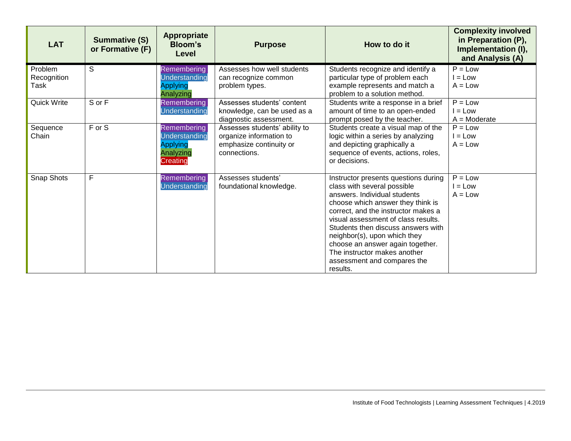| <b>LAT</b>                     | <b>Summative (S)</b><br>or Formative (F) | <b>Appropriate</b><br><b>Bloom's</b><br>Level                                          | <b>Purpose</b>                                                                                      | How to do it                                                                                                                                                                                                                                                                                                                                                                                                | <b>Complexity involved</b><br>in Preparation (P),<br>Implementation (I),<br>and Analysis (A) |
|--------------------------------|------------------------------------------|----------------------------------------------------------------------------------------|-----------------------------------------------------------------------------------------------------|-------------------------------------------------------------------------------------------------------------------------------------------------------------------------------------------------------------------------------------------------------------------------------------------------------------------------------------------------------------------------------------------------------------|----------------------------------------------------------------------------------------------|
| Problem<br>Recognition<br>Task | S                                        | <b>Remembering</b><br>Understanding<br><b>Applying</b><br>Analyzing                    | Assesses how well students<br>can recognize common<br>problem types.                                | Students recognize and identify a<br>particular type of problem each<br>example represents and match a<br>problem to a solution method.                                                                                                                                                                                                                                                                     | $P = Low$<br>$I = Low$<br>$A = Low$                                                          |
| Quick Write                    | S or F                                   | Remembering<br>Understanding                                                           | Assesses students' content<br>knowledge, can be used as a<br>diagnostic assessment.                 | Students write a response in a brief<br>amount of time to an open-ended<br>prompt posed by the teacher.                                                                                                                                                                                                                                                                                                     | $\overline{P}$ = Low<br>$I = Low$<br>$A = \text{Modern}$                                     |
| Sequence<br>Chain              | F or S                                   | <b>Remembering</b><br><b>Understanding</b><br><b>Applying</b><br>Analyzing<br>Creating | Assesses students' ability to<br>organize information to<br>emphasize continuity or<br>connections. | Students create a visual map of the<br>logic within a series by analyzing<br>and depicting graphically a<br>sequence of events, actions, roles,<br>or decisions.                                                                                                                                                                                                                                            | $P = Low$<br>$I = Low$<br>$A = Low$                                                          |
| Snap Shots                     | F                                        | <b>Remembering</b><br>Understanding                                                    | Assesses students'<br>foundational knowledge.                                                       | Instructor presents questions during<br>class with several possible<br>answers. Individual students<br>choose which answer they think is<br>correct, and the instructor makes a<br>visual assessment of class results.<br>Students then discuss answers with<br>neighbor(s), upon which they<br>choose an answer again together.<br>The instructor makes another<br>assessment and compares the<br>results. | $P = Low$<br>$I = Low$<br>$A = Low$                                                          |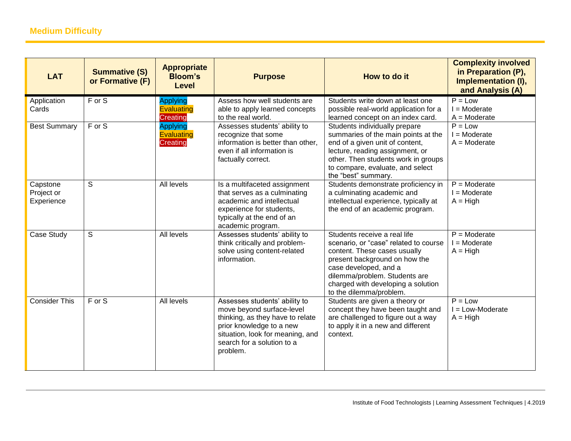| <b>LAT</b>                           | <b>Summative (S)</b><br>or Formative (F) | <b>Appropriate</b><br><b>Bloom's</b><br><b>Level</b>    | <b>Purpose</b>                                                                                                                                                                                           | How to do it                                                                                                                                                                                                                                                      | <b>Complexity involved</b><br>in Preparation (P),<br>Implementation (I),<br>and Analysis (A) |
|--------------------------------------|------------------------------------------|---------------------------------------------------------|----------------------------------------------------------------------------------------------------------------------------------------------------------------------------------------------------------|-------------------------------------------------------------------------------------------------------------------------------------------------------------------------------------------------------------------------------------------------------------------|----------------------------------------------------------------------------------------------|
| Application<br>Cards                 | F or S                                   | <b>Applying</b><br><b>Evaluating</b><br><b>Creating</b> | Assess how well students are<br>able to apply learned concepts<br>to the real world.                                                                                                                     | Students write down at least one<br>possible real-world application for a<br>learned concept on an index card.                                                                                                                                                    | $P = Low$<br>$I =$ Moderate<br>$A = \text{Modern}$                                           |
| <b>Best Summary</b>                  | $F$ or $S$                               | <b>Applying</b><br><b>Evaluating</b><br><b>Creating</b> | Assesses students' ability to<br>recognize that some<br>information is better than other,<br>even if all information is<br>factually correct.                                                            | Students individually prepare<br>summaries of the main points at the<br>end of a given unit of content,<br>lecture, reading assignment, or<br>other. Then students work in groups<br>to compare, evaluate, and select<br>the "best" summary.                      | $P = Low$<br>$I = \text{Modern}$<br>$A = \text{Modern}$                                      |
| Capstone<br>Project or<br>Experience | S                                        | All levels                                              | Is a multifaceted assignment<br>that serves as a culminating<br>academic and intellectual<br>experience for students,<br>typically at the end of an<br>academic program.                                 | Students demonstrate proficiency in<br>a culminating academic and<br>intellectual experience, typically at<br>the end of an academic program.                                                                                                                     | $P =$ Moderate<br>$I =$ Moderate<br>$A = High$                                               |
| Case Study                           | S                                        | All levels                                              | Assesses students' ability to<br>think critically and problem-<br>solve using content-related<br>information.                                                                                            | Students receive a real life<br>scenario, or "case" related to course<br>content. These cases usually<br>present background on how the<br>case developed, and a<br>dilemma/problem. Students are<br>charged with developing a solution<br>to the dilemma/problem. | $P =$ Moderate<br>$I =$ Moderate<br>$A = High$                                               |
| <b>Consider This</b>                 | F or S                                   | All levels                                              | Assesses students' ability to<br>move beyond surface-level<br>thinking, as they have to relate<br>prior knowledge to a new<br>situation, look for meaning, and<br>search for a solution to a<br>problem. | Students are given a theory or<br>concept they have been taught and<br>are challenged to figure out a way<br>to apply it in a new and different<br>context.                                                                                                       | $P = Low$<br>$I = Low-Moderate$<br>$A = High$                                                |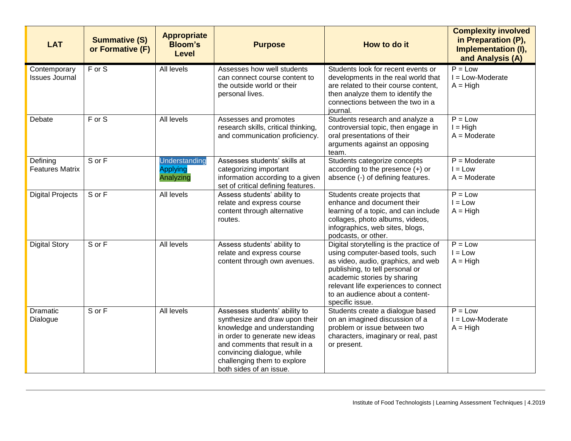| <b>LAT</b>                            | <b>Summative (S)</b><br>or Formative (F) | <b>Appropriate</b><br><b>Bloom's</b><br><b>Level</b> | <b>Purpose</b>                                                                                                                                                                                                                                            | How to do it                                                                                                                                                                                                                                                                      | <b>Complexity involved</b><br>in Preparation (P),<br>Implementation (I),<br>and Analysis (A) |
|---------------------------------------|------------------------------------------|------------------------------------------------------|-----------------------------------------------------------------------------------------------------------------------------------------------------------------------------------------------------------------------------------------------------------|-----------------------------------------------------------------------------------------------------------------------------------------------------------------------------------------------------------------------------------------------------------------------------------|----------------------------------------------------------------------------------------------|
| Contemporary<br><b>Issues Journal</b> | F or S                                   | All levels                                           | Assesses how well students<br>can connect course content to<br>the outside world or their<br>personal lives.                                                                                                                                              | Students look for recent events or<br>developments in the real world that<br>are related to their course content,<br>then analyze them to identify the<br>connections between the two in a<br>iournal.                                                                            | $P = Low$<br>$I = Low-Moderate$<br>$A = High$                                                |
| Debate                                | F or S                                   | All levels                                           | Assesses and promotes<br>research skills, critical thinking,<br>and communication proficiency.                                                                                                                                                            | Students research and analyze a<br>controversial topic, then engage in<br>oral presentations of their<br>arguments against an opposing<br>team.                                                                                                                                   | $P = Low$<br>$I = High$<br>$A = \text{Modern}$                                               |
| Defining<br><b>Features Matrix</b>    | S or F                                   | Understanding<br><b>Applying</b><br>Analyzing        | Assesses students' skills at<br>categorizing important<br>information according to a given<br>set of critical defining features.                                                                                                                          | Students categorize concepts<br>according to the presence $(+)$ or<br>absence (-) of defining features.                                                                                                                                                                           | $P =$ Moderate<br>$I = Low$<br>$A = \text{Modern}$                                           |
| <b>Digital Projects</b>               | S or F                                   | All levels                                           | Assess students' ability to<br>relate and express course<br>content through alternative<br>routes.                                                                                                                                                        | Students create projects that<br>enhance and document their<br>learning of a topic, and can include<br>collages, photo albums, videos,<br>infographics, web sites, blogs,<br>podcasts, or other.                                                                                  | $P = Low$<br>$I = Low$<br>$A = High$                                                         |
| <b>Digital Story</b>                  | S or F                                   | All levels                                           | Assess students' ability to<br>relate and express course<br>content through own avenues.                                                                                                                                                                  | Digital storytelling is the practice of<br>using computer-based tools, such<br>as video, audio, graphics, and web<br>publishing, to tell personal or<br>academic stories by sharing<br>relevant life experiences to connect<br>to an audience about a content-<br>specific issue. | $P = Low$<br>$I = Low$<br>$A = High$                                                         |
| Dramatic<br>Dialogue                  | S or F                                   | All levels                                           | Assesses students' ability to<br>synthesize and draw upon their<br>knowledge and understanding<br>in order to generate new ideas<br>and comments that result in a<br>convincing dialogue, while<br>challenging them to explore<br>both sides of an issue. | Students create a dialogue based<br>on an imagined discussion of a<br>problem or issue between two<br>characters, imaginary or real, past<br>or present.                                                                                                                          | $P = Low$<br>$I = Low-Modern$<br>$A = High$                                                  |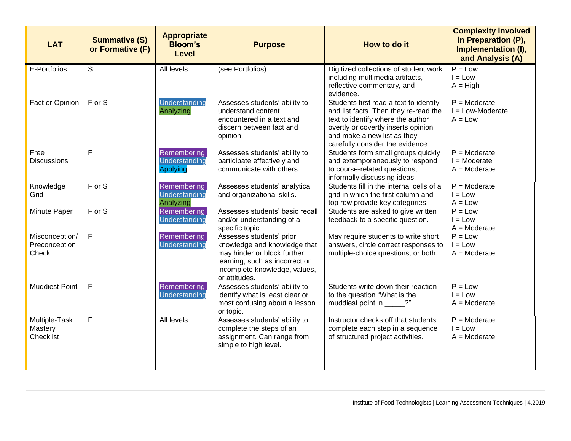| <b>LAT</b>                               | <b>Summative (S)</b><br>or Formative (F) | <b>Appropriate</b><br><b>Bloom's</b><br><b>Level</b> | <b>Purpose</b>                                                                                                                                                              | How to do it                                                                                                                                                                                                                   | <b>Complexity involved</b><br>in Preparation (P),<br>Implementation (I),<br>and Analysis (A) |
|------------------------------------------|------------------------------------------|------------------------------------------------------|-----------------------------------------------------------------------------------------------------------------------------------------------------------------------------|--------------------------------------------------------------------------------------------------------------------------------------------------------------------------------------------------------------------------------|----------------------------------------------------------------------------------------------|
| E-Portfolios                             | S                                        | All levels                                           | (see Portfolios)                                                                                                                                                            | Digitized collections of student work<br>including multimedia artifacts,<br>reflective commentary, and<br>evidence.                                                                                                            | $P = Low$<br>$I = Low$<br>$A = High$                                                         |
| Fact or Opinion                          | $F$ or S                                 | Understanding<br>Analyzing                           | Assesses students' ability to<br>understand content<br>encountered in a text and<br>discern between fact and<br>opinion.                                                    | Students first read a text to identify<br>and list facts. Then they re-read the<br>text to identify where the author<br>overtly or covertly inserts opinion<br>and make a new list as they<br>carefully consider the evidence. | $P = \text{Modern}$<br>$I = Low-Modern$<br>$A = Low$                                         |
| Free<br><b>Discussions</b>               | F                                        | Remembering<br>Understanding<br>Applying             | Assesses students' ability to<br>participate effectively and<br>communicate with others.                                                                                    | Students form small groups quickly<br>and extemporaneously to respond<br>to course-related questions,<br>informally discussing ideas.                                                                                          | $P =$ Moderate<br>$I = \text{Modern}$<br>$A =$ Moderate                                      |
| Knowledge<br>Grid                        | $F$ or $S$                               | Remembering<br>Understanding<br>Analyzing            | Assesses students' analytical<br>and organizational skills.                                                                                                                 | Students fill in the internal cells of a<br>grid in which the first column and<br>top row provide key categories.                                                                                                              | $P =$ Moderate<br>$I = Low$<br>$A = Low$                                                     |
| Minute Paper                             | F or S                                   | Remembering<br>Understanding                         | Assesses students' basic recall<br>and/or understanding of a<br>specific topic.                                                                                             | Students are asked to give written<br>feedback to a specific question.                                                                                                                                                         | $P = Low$<br>$I = Low$<br>$A =$ Moderate                                                     |
| Misconception/<br>Preconception<br>Check | $\overline{F}$                           | Remembering<br>Understanding                         | Assesses students' prior<br>knowledge and knowledge that<br>may hinder or block further<br>learning, such as incorrect or<br>incomplete knowledge, values,<br>or attitudes. | May require students to write short<br>answers, circle correct responses to<br>multiple-choice questions, or both.                                                                                                             | $P = Low$<br>$I = Low$<br>$A =$ Moderate                                                     |
| <b>Muddiest Point</b>                    | F                                        | Remembering<br>Understanding                         | Assesses students' ability to<br>identify what is least clear or<br>most confusing about a lesson<br>or topic.                                                              | Students write down their reaction<br>to the question "What is the<br>muddiest point in ______?".                                                                                                                              | $P = Low$<br>$I = Low$<br>$A =$ Moderate                                                     |
| Multiple-Task<br>Mastery<br>Checklist    | $\mathsf F$                              | All levels                                           | Assesses students' ability to<br>complete the steps of an<br>assignment. Can range from<br>simple to high level.                                                            | Instructor checks off that students<br>complete each step in a sequence<br>of structured project activities.                                                                                                                   | $P =$ Moderate<br>$I = Low$<br>$A =$ Moderate                                                |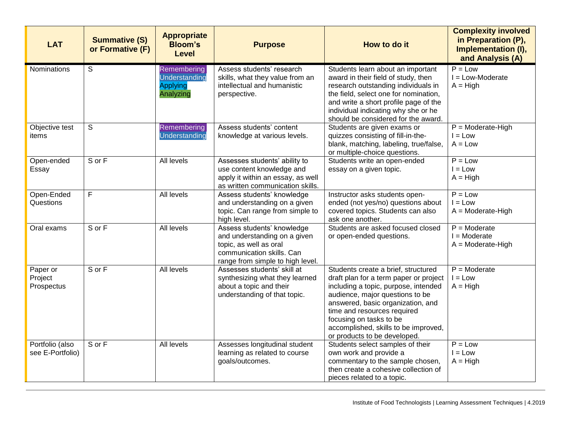| <b>LAT</b>                          | <b>Summative (S)</b><br>or Formative (F) | <b>Appropriate</b><br><b>Bloom's</b><br><b>Level</b>         | <b>Purpose</b>                                                                                                                                        | How to do it                                                                                                                                                                                                                                                                                                                    | <b>Complexity involved</b><br>in Preparation (P),<br>Implementation (I),<br>and Analysis (A) |
|-------------------------------------|------------------------------------------|--------------------------------------------------------------|-------------------------------------------------------------------------------------------------------------------------------------------------------|---------------------------------------------------------------------------------------------------------------------------------------------------------------------------------------------------------------------------------------------------------------------------------------------------------------------------------|----------------------------------------------------------------------------------------------|
| Nominations                         | S                                        | Remembering<br>Understanding<br><b>Applying</b><br>Analyzing | Assess students' research<br>skills, what they value from an<br>intellectual and humanistic<br>perspective.                                           | Students learn about an important<br>award in their field of study, then<br>research outstanding individuals in<br>the field, select one for nomination,<br>and write a short profile page of the<br>individual indicating why she or he<br>should be considered for the award.                                                 | $P = Low$<br>$I = Low-Modern$<br>$A = High$                                                  |
| Objective test<br>items             | S                                        | Remembering<br>Understanding                                 | Assess students' content<br>knowledge at various levels.                                                                                              | Students are given exams or<br>quizzes consisting of fill-in-the-<br>blank, matching, labeling, true/false,<br>or multiple-choice questions.                                                                                                                                                                                    | $P =$ Moderate-High<br>$I = Low$<br>$A = Low$                                                |
| Open-ended<br>Essay                 | S or F                                   | <b>All levels</b>                                            | Assesses students' ability to<br>use content knowledge and<br>apply it within an essay, as well<br>as written communication skills.                   | Students write an open-ended<br>essay on a given topic.                                                                                                                                                                                                                                                                         | $P = Low$<br>$I = Low$<br>$A = High$                                                         |
| Open-Ended<br>Questions             | $\overline{F}$                           | All levels                                                   | Assess students' knowledge<br>and understanding on a given<br>topic. Can range from simple to<br>high level.                                          | Instructor asks students open-<br>ended (not yes/no) questions about<br>covered topics. Students can also<br>ask one another.                                                                                                                                                                                                   | $P = Low$<br>$I = Low$<br>$A = \text{Modern}$ -High                                          |
| Oral exams                          | S or F                                   | All levels                                                   | Assess students' knowledge<br>and understanding on a given<br>topic, as well as oral<br>communication skills. Can<br>range from simple to high level. | Students are asked focused closed<br>or open-ended questions.                                                                                                                                                                                                                                                                   | $P =$ Moderate<br>$I = \text{Modern}$<br>$A = \text{Modern}$ -High                           |
| Paper or<br>Project<br>Prospectus   | S or F                                   | All levels                                                   | Assesses students' skill at<br>synthesizing what they learned<br>about a topic and their<br>understanding of that topic.                              | Students create a brief, structured<br>draft plan for a term paper or project<br>including a topic, purpose, intended<br>audience, major questions to be<br>answered, basic organization, and<br>time and resources required<br>focusing on tasks to be<br>accomplished, skills to be improved,<br>or products to be developed. | $P =$ Moderate<br>$I = Low$<br>$A = High$                                                    |
| Portfolio (also<br>see E-Portfolio) | S or F                                   | <b>All levels</b>                                            | Assesses longitudinal student<br>learning as related to course<br>goals/outcomes.                                                                     | Students select samples of their<br>own work and provide a<br>commentary to the sample chosen,<br>then create a cohesive collection of<br>pieces related to a topic.                                                                                                                                                            | $\overline{P}$ = Low<br>$I = Low$<br>$A = High$                                              |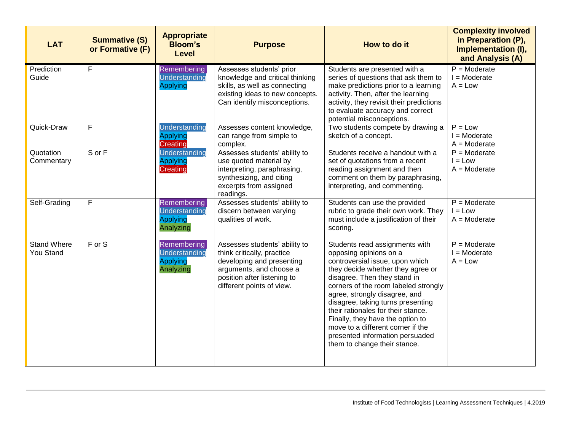| <b>LAT</b>                      | <b>Summative (S)</b><br>or Formative (F) | <b>Appropriate</b><br><b>Bloom's</b><br><b>Level</b>         | <b>Purpose</b>                                                                                                                                                                  | How to do it                                                                                                                                                                                                                                                                                                                                                                                                                                                     | <b>Complexity involved</b><br>in Preparation (P),<br>Implementation (I),<br>and Analysis (A) |
|---------------------------------|------------------------------------------|--------------------------------------------------------------|---------------------------------------------------------------------------------------------------------------------------------------------------------------------------------|------------------------------------------------------------------------------------------------------------------------------------------------------------------------------------------------------------------------------------------------------------------------------------------------------------------------------------------------------------------------------------------------------------------------------------------------------------------|----------------------------------------------------------------------------------------------|
| Prediction<br>Guide             | F                                        | Remembering<br>Understanding<br><b>Applying</b>              | Assesses students' prior<br>knowledge and critical thinking<br>skills, as well as connecting<br>existing ideas to new concepts.<br>Can identify misconceptions.                 | Students are presented with a<br>series of questions that ask them to<br>make predictions prior to a learning<br>activity. Then, after the learning<br>activity, they revisit their predictions<br>to evaluate accuracy and correct<br>potential misconceptions.                                                                                                                                                                                                 | $P =$ Moderate<br>$I = \text{Modern}$<br>$A = Low$                                           |
| Quick-Draw                      | F                                        | Understanding<br><b>Applying</b><br>Creating                 | Assesses content knowledge,<br>can range from simple to<br>complex.                                                                                                             | Two students compete by drawing a<br>sketch of a concept.                                                                                                                                                                                                                                                                                                                                                                                                        | $P = Low$<br>$I =$ Moderate<br>$A = \text{Modern}$                                           |
| Quotation<br>Commentary         | S or F                                   | Understanding<br><b>Applying</b><br>Creating                 | Assesses students' ability to<br>use quoted material by<br>interpreting, paraphrasing,<br>synthesizing, and citing<br>excerpts from assigned<br>readings.                       | Students receive a handout with a<br>set of quotations from a recent<br>reading assignment and then<br>comment on them by paraphrasing,<br>interpreting, and commenting.                                                                                                                                                                                                                                                                                         | $P =$ Moderate<br>$I = Low$<br>$A = \text{Modern}$                                           |
| Self-Grading                    | F                                        | Remembering<br>Understanding<br><b>Applying</b><br>Analyzing | Assesses students' ability to<br>discern between varying<br>qualities of work.                                                                                                  | Students can use the provided<br>rubric to grade their own work. They<br>must include a justification of their<br>scoring.                                                                                                                                                                                                                                                                                                                                       | $P =$ Moderate<br>$I = Low$<br>$A = \text{Modern}$                                           |
| <b>Stand Where</b><br>You Stand | F or S                                   | Remembering<br>Understanding<br><b>Applying</b><br>Analyzing | Assesses students' ability to<br>think critically, practice<br>developing and presenting<br>arguments, and choose a<br>position after listening to<br>different points of view. | Students read assignments with<br>opposing opinions on a<br>controversial issue, upon which<br>they decide whether they agree or<br>disagree. Then they stand in<br>corners of the room labeled strongly<br>agree, strongly disagree, and<br>disagree, taking turns presenting<br>their rationales for their stance.<br>Finally, they have the option to<br>move to a different corner if the<br>presented information persuaded<br>them to change their stance. | $P =$ Moderate<br>$I = \text{Modern}$<br>$A = Low$                                           |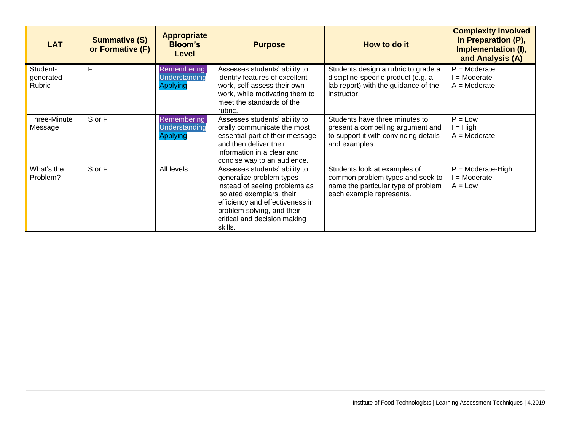| <b>LAT</b>                      | <b>Summative (S)</b><br>or Formative (F) | <b>Appropriate</b><br><b>Bloom's</b><br>Level          | <b>Purpose</b>                                                                                                                                                                                                                      | How to do it                                                                                                                        | <b>Complexity involved</b><br>in Preparation (P),<br>Implementation (I),<br>and Analysis (A) |
|---------------------------------|------------------------------------------|--------------------------------------------------------|-------------------------------------------------------------------------------------------------------------------------------------------------------------------------------------------------------------------------------------|-------------------------------------------------------------------------------------------------------------------------------------|----------------------------------------------------------------------------------------------|
| Student-<br>generated<br>Rubric | F                                        | Remembering<br>Understanding<br><b>Applying</b>        | Assesses students' ability to<br>identify features of excellent<br>work, self-assess their own<br>work, while motivating them to<br>meet the standards of the<br>rubric.                                                            | Students design a rubric to grade a<br>discipline-specific product (e.g. a<br>lab report) with the guidance of the<br>instructor.   | $P =$ Moderate<br>= Moderate<br>$A =$ Moderate                                               |
| Three-Minute<br>Message         | S or F                                   | <b>Remembering</b><br>Understanding<br><b>Applying</b> | Assesses students' ability to<br>orally communicate the most<br>essential part of their message<br>and then deliver their<br>information in a clear and<br>concise way to an audience.                                              | Students have three minutes to<br>present a compelling argument and<br>to support it with convincing details<br>and examples.       | $P = Low$<br>$I = High$<br>$A = \text{Modern}$                                               |
| What's the<br>Problem?          | S or F                                   | All levels                                             | Assesses students' ability to<br>generalize problem types<br>instead of seeing problems as<br>isolated exemplars, their<br>efficiency and effectiveness in<br>problem solving, and their<br>critical and decision making<br>skills. | Students look at examples of<br>common problem types and seek to<br>name the particular type of problem<br>each example represents. | $P =$ Moderate-High<br>$=$ Moderate<br>$A = Low$                                             |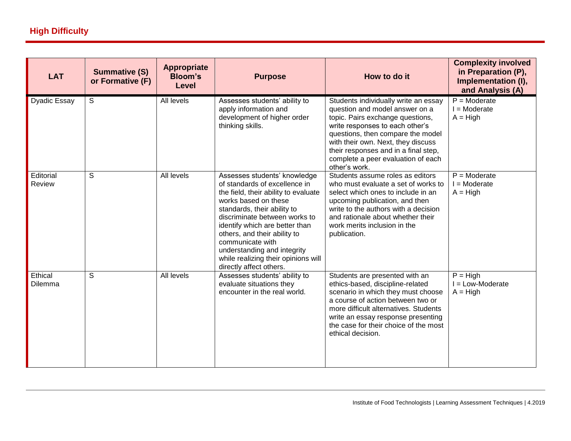| <b>LAT</b>          | <b>Summative (S)</b><br>or Formative (F) | <b>Appropriate</b><br><b>Bloom's</b><br>Level | <b>Purpose</b>                                                                                                                                                                                                                                                                                                                                                                       | How to do it                                                                                                                                                                                                                                                                                                            | <b>Complexity involved</b><br>in Preparation (P),<br>Implementation (I),<br>and Analysis (A) |
|---------------------|------------------------------------------|-----------------------------------------------|--------------------------------------------------------------------------------------------------------------------------------------------------------------------------------------------------------------------------------------------------------------------------------------------------------------------------------------------------------------------------------------|-------------------------------------------------------------------------------------------------------------------------------------------------------------------------------------------------------------------------------------------------------------------------------------------------------------------------|----------------------------------------------------------------------------------------------|
| <b>Dyadic Essay</b> | S                                        | All levels                                    | Assesses students' ability to<br>apply information and<br>development of higher order<br>thinking skills.                                                                                                                                                                                                                                                                            | Students individually write an essay<br>question and model answer on a<br>topic. Pairs exchange questions,<br>write responses to each other's<br>questions, then compare the model<br>with their own. Next, they discuss<br>their responses and in a final step,<br>complete a peer evaluation of each<br>other's work. | $P =$ Moderate<br>$I =$ Moderate<br>$A = High$                                               |
| Editorial<br>Review | $\overline{s}$                           | <b>All levels</b>                             | Assesses students' knowledge<br>of standards of excellence in<br>the field, their ability to evaluate<br>works based on these<br>standards, their ability to<br>discriminate between works to<br>identify which are better than<br>others, and their ability to<br>communicate with<br>understanding and integrity<br>while realizing their opinions will<br>directly affect others. | Students assume roles as editors<br>who must evaluate a set of works to<br>select which ones to include in an<br>upcoming publication, and then<br>write to the authors with a decision<br>and rationale about whether their<br>work merits inclusion in the<br>publication.                                            | $P =$ Moderate<br>$I =$ Moderate<br>$A = High$                                               |
| Ethical<br>Dilemma  | S                                        | All levels                                    | Assesses students' ability to<br>evaluate situations they<br>encounter in the real world.                                                                                                                                                                                                                                                                                            | Students are presented with an<br>ethics-based, discipline-related<br>scenario in which they must choose<br>a course of action between two or<br>more difficult alternatives. Students<br>write an essay response presenting<br>the case for their choice of the most<br>ethical decision.                              | $P = High$<br>I = Low-Moderate<br>$A = High$                                                 |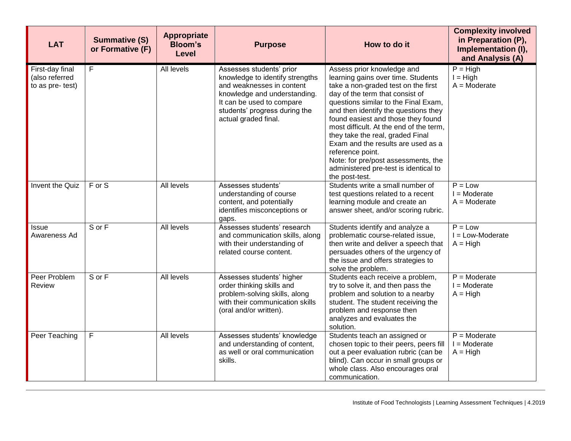| <b>LAT</b>                                            | <b>Summative (S)</b><br>or Formative (F) | <b>Appropriate</b><br><b>Bloom's</b><br>Level | <b>Purpose</b>                                                                                                                                                                                                 | How to do it                                                                                                                                                                                                                                                                                                                                                                                                                                                                                                | <b>Complexity involved</b><br>in Preparation (P),<br>Implementation (I),<br>and Analysis (A) |
|-------------------------------------------------------|------------------------------------------|-----------------------------------------------|----------------------------------------------------------------------------------------------------------------------------------------------------------------------------------------------------------------|-------------------------------------------------------------------------------------------------------------------------------------------------------------------------------------------------------------------------------------------------------------------------------------------------------------------------------------------------------------------------------------------------------------------------------------------------------------------------------------------------------------|----------------------------------------------------------------------------------------------|
| First-day final<br>(also referred<br>to as pre- test) | F                                        | All levels                                    | Assesses students' prior<br>knowledge to identify strengths<br>and weaknesses in content<br>knowledge and understanding.<br>It can be used to compare<br>students' progress during the<br>actual graded final. | Assess prior knowledge and<br>learning gains over time. Students<br>take a non-graded test on the first<br>day of the term that consist of<br>questions similar to the Final Exam,<br>and then identify the questions they<br>found easiest and those they found<br>most difficult. At the end of the term,<br>they take the real, graded Final<br>Exam and the results are used as a<br>reference point.<br>Note: for pre/post assessments, the<br>administered pre-test is identical to<br>the post-test. | $P = High$<br>$I = High$<br>$A = \text{Modern}$                                              |
| Invent the Quiz                                       | F or S                                   | All levels                                    | Assesses students'<br>understanding of course<br>content, and potentially<br>identifies misconceptions or<br>gaps.                                                                                             | Students write a small number of<br>test questions related to a recent<br>learning module and create an<br>answer sheet, and/or scoring rubric.                                                                                                                                                                                                                                                                                                                                                             | $P = Low$<br>$I = \text{Modern}$<br>$A = \text{Modern}$                                      |
| <b>Issue</b><br>Awareness Ad                          | S or F                                   | All levels                                    | Assesses students' research<br>and communication skills, along<br>with their understanding of<br>related course content.                                                                                       | Students identify and analyze a<br>problematic course-related issue,<br>then write and deliver a speech that<br>persuades others of the urgency of<br>the issue and offers strategies to<br>solve the problem.                                                                                                                                                                                                                                                                                              | $P = Low$<br>$I = Low-Modern$<br>$A = High$                                                  |
| Peer Problem<br><b>Review</b>                         | S or F                                   | All levels                                    | Assesses students' higher<br>order thinking skills and<br>problem-solving skills, along<br>with their communication skills<br>(oral and/or written).                                                           | Students each receive a problem,<br>try to solve it, and then pass the<br>problem and solution to a nearby<br>student. The student receiving the<br>problem and response then<br>analyzes and evaluates the<br>solution.                                                                                                                                                                                                                                                                                    | $P =$ Moderate<br>$I = \text{Modern}$<br>$A = High$                                          |
| Peer Teaching                                         | F                                        | All levels                                    | Assesses students' knowledge<br>and understanding of content,<br>as well or oral communication<br>skills.                                                                                                      | Students teach an assigned or<br>chosen topic to their peers, peers fill<br>out a peer evaluation rubric (can be<br>blind). Can occur in small groups or<br>whole class. Also encourages oral<br>communication.                                                                                                                                                                                                                                                                                             | $P = \text{Modern}$<br>$I = \text{Modern}$<br>$A = High$                                     |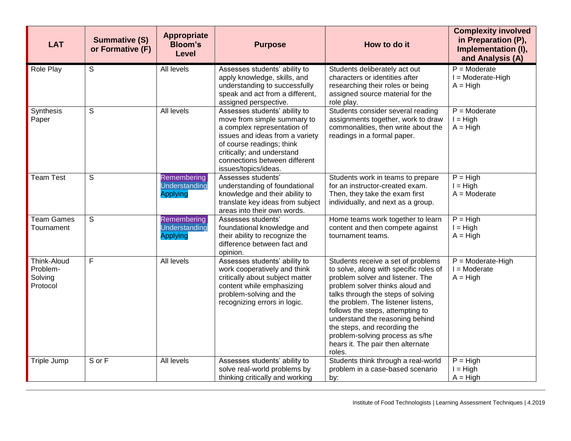| <b>LAT</b>                                     | <b>Summative (S)</b><br>or Formative (F) | <b>Appropriate</b><br><b>Bloom's</b><br><b>Level</b> | <b>Purpose</b>                                                                                                                                                                                                                                     | How to do it                                                                                                                                                                                                                                                                                                                                                                                                             | <b>Complexity involved</b><br>in Preparation (P),<br>Implementation (I),<br>and Analysis (A) |
|------------------------------------------------|------------------------------------------|------------------------------------------------------|----------------------------------------------------------------------------------------------------------------------------------------------------------------------------------------------------------------------------------------------------|--------------------------------------------------------------------------------------------------------------------------------------------------------------------------------------------------------------------------------------------------------------------------------------------------------------------------------------------------------------------------------------------------------------------------|----------------------------------------------------------------------------------------------|
| Role Play                                      | S                                        | All levels                                           | Assesses students' ability to<br>apply knowledge, skills, and<br>understanding to successfully<br>speak and act from a different,<br>assigned perspective.                                                                                         | Students deliberately act out<br>characters or identities after<br>researching their roles or being<br>assigned source material for the<br>role play.                                                                                                                                                                                                                                                                    | $P =$ Moderate<br>I = Moderate-High<br>$A = High$                                            |
| Synthesis<br>Paper                             | $\mathsf S$                              | All levels                                           | Assesses students' ability to<br>move from simple summary to<br>a complex representation of<br>issues and ideas from a variety<br>of course readings; think<br>critically; and understand<br>connections between different<br>issues/topics/ideas. | Students consider several reading<br>assignments together, work to draw<br>commonalities, then write about the<br>readings in a formal paper.                                                                                                                                                                                                                                                                            | $P =$ Moderate<br>$I = High$<br>$A = High$                                                   |
| <b>Team Test</b>                               | S                                        | Remembering<br>Understanding<br><b>Applying</b>      | Assesses students'<br>understanding of foundational<br>knowledge and their ability to<br>translate key ideas from subject<br>areas into their own words.                                                                                           | Students work in teams to prepare<br>for an instructor-created exam.<br>Then, they take the exam first<br>individually, and next as a group.                                                                                                                                                                                                                                                                             | $P = High$<br>$I = High$<br>$A = \text{Modern}$                                              |
| <b>Team Games</b><br>Tournament                | S                                        | Remembering<br>Understanding<br><b>Applying</b>      | Assesses students'<br>foundational knowledge and<br>their ability to recognize the<br>difference between fact and<br>opinion.                                                                                                                      | Home teams work together to learn<br>content and then compete against<br>tournament teams.                                                                                                                                                                                                                                                                                                                               | $P = High$<br>$I = High$<br>$A = High$                                                       |
| Think-Aloud<br>Problem-<br>Solving<br>Protocol | F                                        | All levels                                           | Assesses students' ability to<br>work cooperatively and think<br>critically about subject matter<br>content while emphasizing<br>problem-solving and the<br>recognizing errors in logic.                                                           | Students receive a set of problems<br>to solve, along with specific roles of<br>problem solver and listener. The<br>problem solver thinks aloud and<br>talks through the steps of solving<br>the problem. The listener listens,<br>follows the steps, attempting to<br>understand the reasoning behind<br>the steps, and recording the<br>problem-solving process as s/he<br>hears it. The pair then alternate<br>roles. | $P =$ Moderate-High<br>$I =$ Moderate<br>$A = High$                                          |
| Triple Jump                                    | S or F                                   | All levels                                           | Assesses students' ability to<br>solve real-world problems by<br>thinking critically and working                                                                                                                                                   | Students think through a real-world<br>problem in a case-based scenario<br>by:                                                                                                                                                                                                                                                                                                                                           | $P = High$<br>$I = High$<br>$A = High$                                                       |